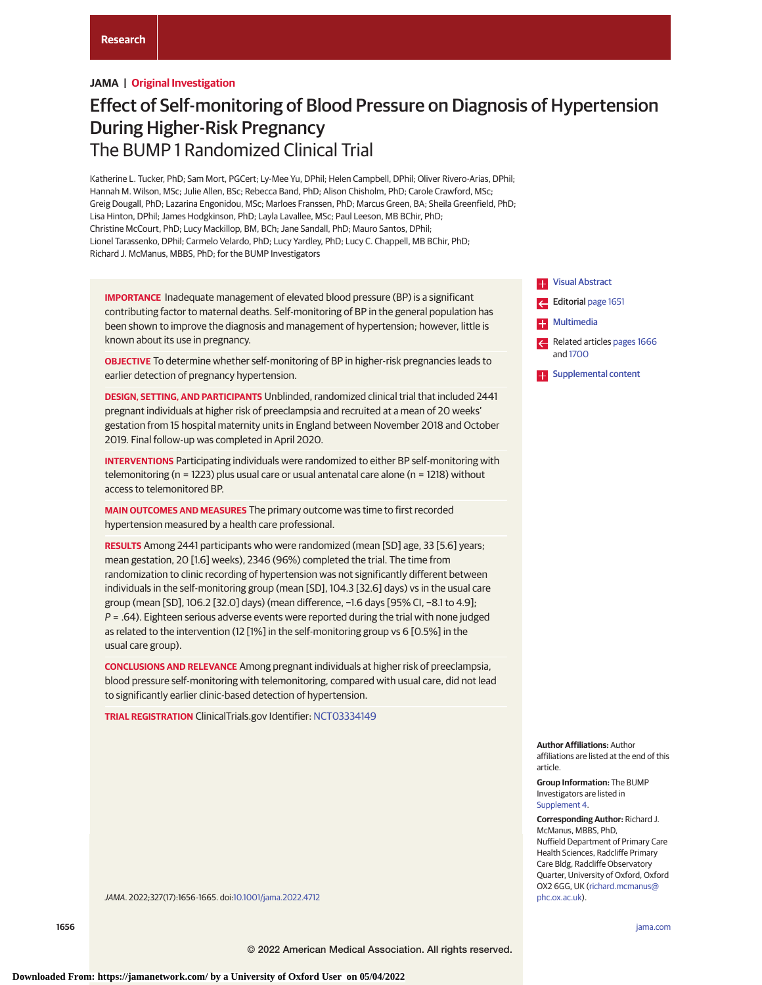## **JAMA | Original Investigation**

# Effect of Self-monitoring of Blood Pressure on Diagnosis of Hypertension During Higher-Risk Pregnancy The BUMP 1 Randomized Clinical Trial

Katherine L. Tucker, PhD; Sam Mort, PGCert; Ly-Mee Yu, DPhil; Helen Campbell, DPhil; Oliver Rivero-Arias, DPhil; Hannah M. Wilson, MSc; Julie Allen, BSc; Rebecca Band, PhD; Alison Chisholm, PhD; Carole Crawford, MSc; Greig Dougall, PhD; Lazarina Engonidou, MSc; Marloes Franssen, PhD; Marcus Green, BA; Sheila Greenfield, PhD; Lisa Hinton, DPhil; James Hodgkinson, PhD; Layla Lavallee, MSc; Paul Leeson, MB BChir, PhD; Christine McCourt, PhD; Lucy Mackillop, BM, BCh; Jane Sandall, PhD; Mauro Santos, DPhil; Lionel Tarassenko, DPhil; Carmelo Velardo, PhD; Lucy Yardley, PhD; Lucy C. Chappell, MB BChir, PhD; Richard J. McManus, MBBS, PhD; for the BUMP Investigators

**IMPORTANCE** Inadequate management of elevated blood pressure (BP) is a significant contributing factor to maternal deaths. Self-monitoring of BP in the general population has been shown to improve the diagnosis and management of hypertension; however, little is known about its use in pregnancy.

**OBJECTIVE** To determine whether self-monitoring of BP in higher-risk pregnancies leads to earlier detection of pregnancy hypertension.

**DESIGN, SETTING, AND PARTICIPANTS** Unblinded, randomized clinical trial that included 2441 pregnant individuals at higher risk of preeclampsia and recruited at a mean of 20 weeks' gestation from 15 hospital maternity units in England between November 2018 and October 2019. Final follow-up was completed in April 2020.

**INTERVENTIONS** Participating individuals were randomized to either BP self-monitoring with telemonitoring (n = 1223) plus usual care or usual antenatal care alone (n = 1218) without access to telemonitored BP.

**MAIN OUTCOMES AND MEASURES** The primary outcome was time to first recorded hypertension measured by a health care professional.

**RESULTS** Among 2441 participants who were randomized (mean [SD] age, 33 [5.6] years; mean gestation, 20 [1.6] weeks), 2346 (96%) completed the trial. The time from randomization to clinic recording of hypertension was not significantly different between individuals in the self-monitoring group (mean [SD], 104.3 [32.6] days) vs in the usual care group (mean [SD], 106.2 [32.0] days) (mean difference, −1.6 days [95% CI, −8.1 to 4.9];  $P = .64$ ). Eighteen serious adverse events were reported during the trial with none judged as related to the intervention (12 [1%] in the self-monitoring group vs 6 [0.5%] in the usual care group).

**CONCLUSIONS AND RELEVANCE** Among pregnant individuals at higher risk of preeclampsia, blood pressure self-monitoring with telemonitoring, compared with usual care, did not lead to significantly earlier clinic-based detection of hypertension.

**TRIAL REGISTRATION** ClinicalTrials.gov Identifier: [NCT03334149](https://clinicaltrials.gov/ct2/show/NCT03334149)



**Author Affiliations:** Author

affiliations are listed at the end of this article.

**Group Information:** The BUMP Investigators are listed in [Supplement 4.](https://jamanetwork.com/journals/jama/fullarticle/10.1001/jama.2022.4712?utm_campaign=articlePDF%26utm_medium=articlePDFlink%26utm_source=articlePDF%26utm_content=jama.2022.4712)

**Corresponding Author:** Richard J. McManus, MBBS, PhD, Nuffield Department of Primary Care Health Sciences, Radcliffe Primary Care Bldg, Radcliffe Observatory Quarter, University of Oxford, Oxford OX2 6GG, UK [\(richard.mcmanus@](mailto:richard.mcmanus@phc.ox.ac.uk) [phc.ox.ac.uk\)](mailto:richard.mcmanus@phc.ox.ac.uk).

JAMA. 2022;327(17):1656-1665. doi[:10.1001/jama.2022.4712](https://jamanetwork.com/journals/jama/fullarticle/10.1001/jama.2022.4712?utm_campaign=articlePDF%26utm_medium=articlePDFlink%26utm_source=articlePDF%26utm_content=jama.2022.4712)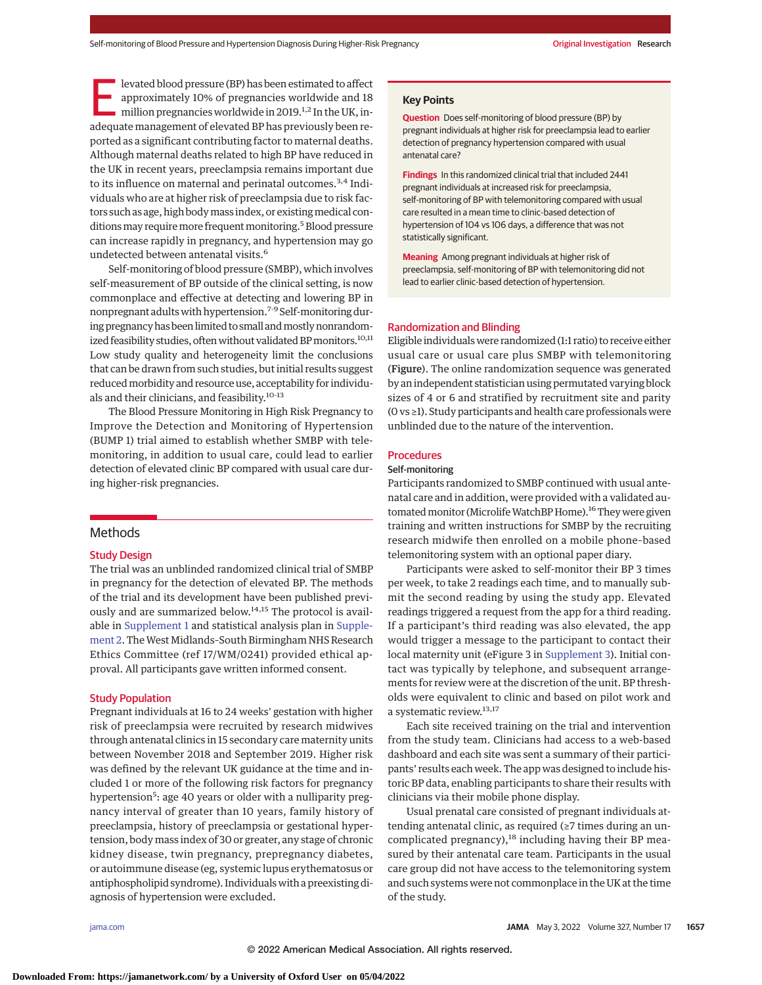levated blood pressure (BP) has been estimated to affect<br>approximately 10% of pregnancies worldwide and 18<br>million pregnancies worldwide in 2019.<sup>1,2</sup> In the UK, in-<br>adequate management of elevated BB has proviously been r approximately 10% of pregnancies worldwide and 18 adequate management of elevated BP has previously been reported as a significant contributing factor to maternal deaths. Although maternal deaths related to high BP have reduced in the UK in recent years, preeclampsia remains important due to its influence on maternal and perinatal outcomes.<sup>3,4</sup> Individuals who are at higher risk of preeclampsia due to risk factors such as age, high bodymass index, or existingmedical conditions may require more frequent monitoring.<sup>5</sup> Blood pressure can increase rapidly in pregnancy, and hypertension may go undetected between antenatal visits.<sup>6</sup>

Self-monitoring of blood pressure (SMBP), which involves self-measurement of BP outside of the clinical setting, is now commonplace and effective at detecting and lowering BP in nonpregnant adults with hypertension.7-9 Self-monitoring during pregnancy has been limited to small and mostly nonrandomized feasibility studies, often without validated BP monitors.<sup>10,11</sup> Low study quality and heterogeneity limit the conclusions that can be drawn from such studies, but initial results suggest reducedmorbidity and resource use, acceptability for individuals and their clinicians, and feasibility.10-13

The Blood Pressure Monitoring in High Risk Pregnancy to Improve the Detection and Monitoring of Hypertension (BUMP 1) trial aimed to establish whether SMBP with telemonitoring, in addition to usual care, could lead to earlier detection of elevated clinic BP compared with usual care during higher-risk pregnancies.

## **Methods**

#### Study Design

The trial was an unblinded randomized clinical trial of SMBP in pregnancy for the detection of elevated BP. The methods of the trial and its development have been published previously and are summarized below.<sup>14,15</sup> The protocol is available in [Supplement 1](https://jamanetwork.com/journals/jama/fullarticle/10.1001/jama.2022.4712?utm_campaign=articlePDF%26utm_medium=articlePDFlink%26utm_source=articlePDF%26utm_content=jama.2022.4712) and statistical analysis plan in [Supple](https://jamanetwork.com/journals/jama/fullarticle/10.1001/jama.2022.4712?utm_campaign=articlePDF%26utm_medium=articlePDFlink%26utm_source=articlePDF%26utm_content=jama.2022.4712)[ment 2.](https://jamanetwork.com/journals/jama/fullarticle/10.1001/jama.2022.4712?utm_campaign=articlePDF%26utm_medium=articlePDFlink%26utm_source=articlePDF%26utm_content=jama.2022.4712) The West Midlands-South Birmingham NHS Research Ethics Committee (ref 17/WM/0241) provided ethical approval. All participants gave written informed consent.

#### Study Population

Pregnant individuals at 16 to 24 weeks' gestation with higher risk of preeclampsia were recruited by research midwives through antenatal clinics in 15 secondary care maternity units between November 2018 and September 2019. Higher risk was defined by the relevant UK guidance at the time and included 1 or more of the following risk factors for pregnancy hypertension<sup>5</sup>: age 40 years or older with a nulliparity pregnancy interval of greater than 10 years, family history of preeclampsia, history of preeclampsia or gestational hypertension, body mass index of 30 or greater, any stage of chronic kidney disease, twin pregnancy, prepregnancy diabetes, or autoimmune disease (eg, systemic lupus erythematosus or antiphospholipid syndrome). Individuals with a preexisting diagnosis of hypertension were excluded.

# **Key Points**

**Question** Does self-monitoring of blood pressure (BP) by pregnant individuals at higher risk for preeclampsia lead to earlier detection of pregnancy hypertension compared with usual antenatal care?

**Findings** In this randomized clinical trial that included 2441 pregnant individuals at increased risk for preeclampsia, self-monitoring of BP with telemonitoring compared with usual care resulted in a mean time to clinic-based detection of hypertension of 104 vs 106 days, a difference that was not statistically significant.

**Meaning** Among pregnant individuals at higher risk of preeclampsia, self-monitoring of BP with telemonitoring did not lead to earlier clinic-based detection of hypertension.

#### Randomization and Blinding

Eligible individuals were randomized (1:1 ratio) to receive either usual care or usual care plus SMBP with telemonitoring (Figure). The online randomization sequence was generated by an independent statistician using permutated varying block sizes of 4 or 6 and stratified by recruitment site and parity (0 vs ≥1). Study participants and health care professionals were unblinded due to the nature of the intervention.

# **Procedures**

# Self-monitoring

Participants randomized to SMBP continued with usual antenatal care and in addition, were provided with a validated automated monitor (Microlife WatchBP Home).<sup>16</sup> They were given training and written instructions for SMBP by the recruiting research midwife then enrolled on a mobile phone–based telemonitoring system with an optional paper diary.

Participants were asked to self-monitor their BP 3 times per week, to take 2 readings each time, and to manually submit the second reading by using the study app. Elevated readings triggered a request from the app for a third reading. If a participant's third reading was also elevated, the app would trigger a message to the participant to contact their local maternity unit (eFigure 3 in [Supplement 3\)](https://jamanetwork.com/journals/jama/fullarticle/10.1001/jama.2022.4712?utm_campaign=articlePDF%26utm_medium=articlePDFlink%26utm_source=articlePDF%26utm_content=jama.2022.4712). Initial contact was typically by telephone, and subsequent arrangements for review were at the discretion of the unit. BP thresholds were equivalent to clinic and based on pilot work and a systematic review.13,17

Each site received training on the trial and intervention from the study team. Clinicians had access to a web-based dashboard and each site was sent a summary of their participants' results each week. The app was designed to include historic BP data, enabling participants to share their results with clinicians via their mobile phone display.

Usual prenatal care consisted of pregnant individuals attending antenatal clinic, as required (≥7 times during an uncomplicated pregnancy),<sup>18</sup> including having their BP measured by their antenatal care team. Participants in the usual care group did not have access to the telemonitoring system and such systems were not commonplace in the UK at the time of the study.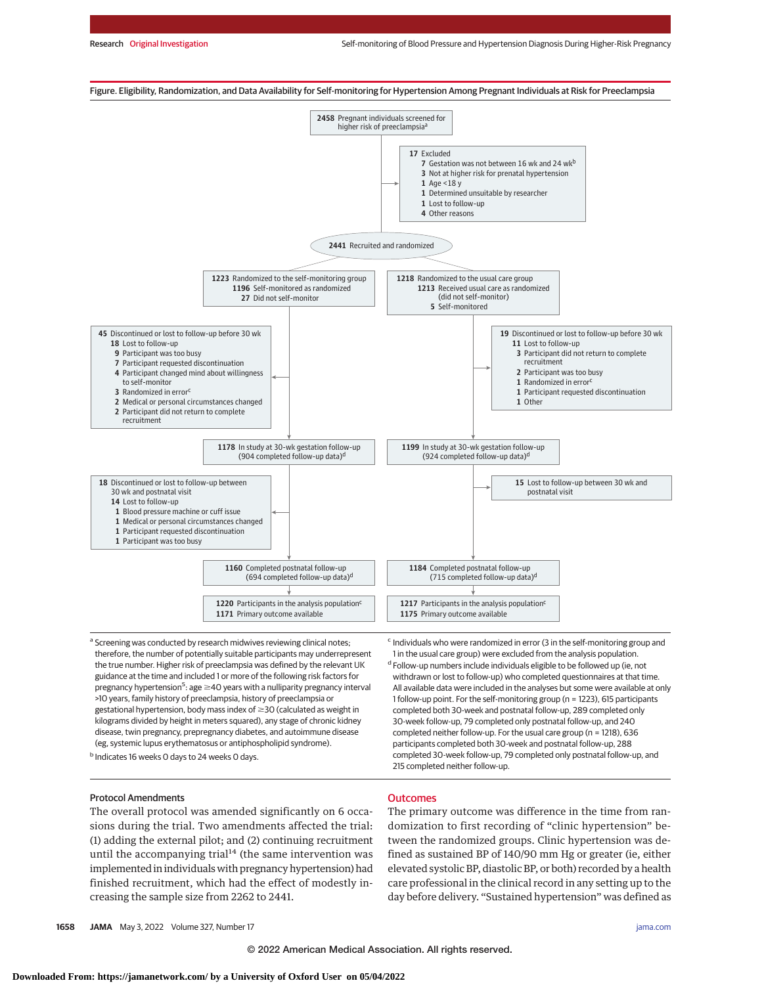

<sup>a</sup> Screening was conducted by research midwives reviewing clinical notes; therefore, the number of potentially suitable participants may underrepresent the true number. Higher risk of preeclampsia was defined by the relevant UK guidance at the time and included 1 or more of the following risk factors for pregnancy hypertension<sup>5</sup>: age ≥40 years with a nulliparity pregnancy interval >10 years, family history of preeclampsia, history of preeclampsia or gestational hypertension, body mass index of  $\geq$ 30 (calculated as weight in kilograms divided by height in meters squared), any stage of chronic kidney disease, twin pregnancy, prepregnancy diabetes, and autoimmune disease (eg, systemic lupus erythematosus or antiphospholipid syndrome).

<sup>b</sup> Indicates 16 weeks 0 days to 24 weeks 0 days.

# Protocol Amendments

The overall protocol was amended significantly on 6 occasions during the trial. Two amendments affected the trial: (1) adding the external pilot; and (2) continuing recruitment until the accompanying trial $14$  (the same intervention was implemented in individuals with pregnancy hypertension) had finished recruitment, which had the effect of modestly increasing the sample size from 2262 to 2441.

# **Outcomes**

215 completed neither follow-up.

The primary outcome was difference in the time from randomization to first recording of "clinic hypertension" between the randomized groups. Clinic hypertension was defined as sustained BP of 140/90 mm Hg or greater (ie, either elevated systolic BP, diastolic BP, or both) recorded by a health care professional in the clinical record in any setting up to the day before delivery. "Sustained hypertension" was defined as

1 in the usual care group) were excluded from the analysis population. <sup>d</sup> Follow-up numbers include individuals eligible to be followed up (ie, not withdrawn or lost to follow-up) who completed questionnaires at that time. All available data were included in the analyses but some were available at only 1 follow-up point. For the self-monitoring group (n = 1223), 615 participants completed both 30-week and postnatal follow-up, 289 completed only 30-week follow-up, 79 completed only postnatal follow-up, and 240 completed neither follow-up. For the usual care group (n = 1218), 636 participants completed both 30-week and postnatal follow-up, 288 completed 30-week follow-up, 79 completed only postnatal follow-up, and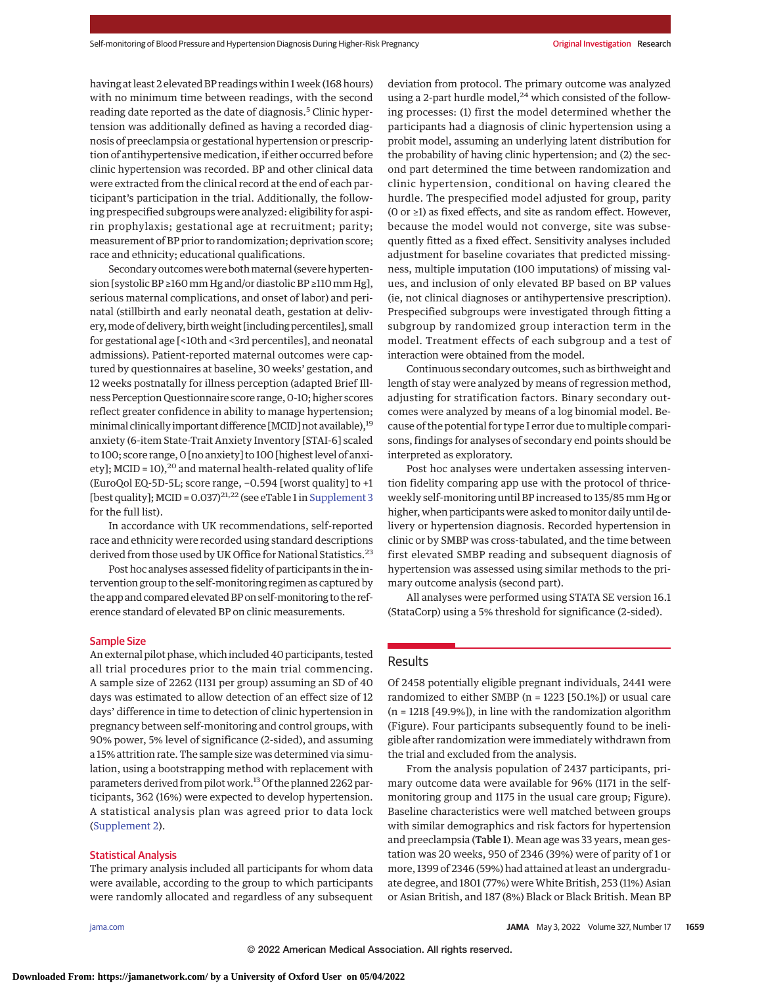having at least 2 elevated BP readings within 1 week (168 hours) with no minimum time between readings, with the second reading date reported as the date of diagnosis.<sup>5</sup> Clinic hypertension was additionally defined as having a recorded diagnosis of preeclampsia or gestational hypertension or prescription of antihypertensive medication, if either occurred before clinic hypertension was recorded. BP and other clinical data were extracted from the clinical record at the end of each participant's participation in the trial. Additionally, the following prespecified subgroups were analyzed: eligibility for aspirin prophylaxis; gestational age at recruitment; parity; measurement of BP prior to randomization; deprivation score; race and ethnicity; educational qualifications.

Secondary outcomes were both maternal (severe hypertension [systolic BP ≥160mm Hg and/or diastolic BP ≥110mm Hg], serious maternal complications, and onset of labor) and perinatal (stillbirth and early neonatal death, gestation at delivery,mode of delivery, birthweight [including percentiles], small for gestational age [<10th and <3rd percentiles], and neonatal admissions). Patient-reported maternal outcomes were captured by questionnaires at baseline, 30 weeks' gestation, and 12 weeks postnatally for illness perception (adapted Brief Illness Perception Questionnaire score range, 0-10; higher scores reflect greater confidence in ability to manage hypertension; minimal clinically important difference [MCID] not available),<sup>19</sup> anxiety (6-item State-Trait Anxiety Inventory [STAI-6] scaled to 100; score range, 0 [no anxiety] to 100 [highest level of anxiety]; MCID = 10),<sup>20</sup> and maternal health-related quality of life (EuroQol EQ-5D-5L; score range, −0.594 [worst quality] to +1 [best quality]; MCID =  $0.037$ <sup>21,22</sup> (see eTable 1 in [Supplement 3](https://jamanetwork.com/journals/jama/fullarticle/10.1001/jama.2022.4712?utm_campaign=articlePDF%26utm_medium=articlePDFlink%26utm_source=articlePDF%26utm_content=jama.2022.4712) for the full list).

In accordance with UK recommendations, self-reported race and ethnicity were recorded using standard descriptions derived from those used by UK Office for National Statistics.<sup>23</sup>

Post hoc analyses assessed fidelity of participants in the intervention group to the self-monitoring regimen as captured by the app and compared elevated BP on self-monitoring to the reference standard of elevated BP on clinic measurements.

#### Sample Size

An external pilot phase, which included 40 participants, tested all trial procedures prior to the main trial commencing. A sample size of 2262 (1131 per group) assuming an SD of 40 days was estimated to allow detection of an effect size of 12 days' difference in time to detection of clinic hypertension in pregnancy between self-monitoring and control groups, with 90% power, 5% level of significance (2-sided), and assuming a 15% attrition rate. The sample size was determined via simulation, using a bootstrapping method with replacement with parameters derived from pilot work.<sup>13</sup> Of the planned 2262 participants, 362 (16%) were expected to develop hypertension. A statistical analysis plan was agreed prior to data lock [\(Supplement 2\)](https://jamanetwork.com/journals/jama/fullarticle/10.1001/jama.2022.4712?utm_campaign=articlePDF%26utm_medium=articlePDFlink%26utm_source=articlePDF%26utm_content=jama.2022.4712).

#### Statistical Analysis

The primary analysis included all participants for whom data were available, according to the group to which participants were randomly allocated and regardless of any subsequent deviation from protocol. The primary outcome was analyzed using a 2-part hurdle model, $^{24}$  which consisted of the following processes: (1) first the model determined whether the participants had a diagnosis of clinic hypertension using a probit model, assuming an underlying latent distribution for the probability of having clinic hypertension; and (2) the second part determined the time between randomization and clinic hypertension, conditional on having cleared the hurdle. The prespecified model adjusted for group, parity (0 or ≥1) as fixed effects, and site as random effect. However, because the model would not converge, site was subsequently fitted as a fixed effect. Sensitivity analyses included adjustment for baseline covariates that predicted missingness, multiple imputation (100 imputations) of missing values, and inclusion of only elevated BP based on BP values (ie, not clinical diagnoses or antihypertensive prescription). Prespecified subgroups were investigated through fitting a subgroup by randomized group interaction term in the model. Treatment effects of each subgroup and a test of interaction were obtained from the model.

Continuous secondary outcomes, such as birthweight and length of stay were analyzed by means of regression method, adjusting for stratification factors. Binary secondary outcomes were analyzed by means of a log binomial model. Because of the potential for type I error due to multiple comparisons, findings for analyses of secondary end points should be interpreted as exploratory.

Post hoc analyses were undertaken assessing intervention fidelity comparing app use with the protocol of thriceweekly self-monitoring until BP increased to 135/85 mm Hg or higher, when participants were asked to monitor daily until delivery or hypertension diagnosis. Recorded hypertension in clinic or by SMBP was cross-tabulated, and the time between first elevated SMBP reading and subsequent diagnosis of hypertension was assessed using similar methods to the primary outcome analysis (second part).

All analyses were performed using STATA SE version 16.1 (StataCorp) using a 5% threshold for significance (2-sided).

#### Results

Of 2458 potentially eligible pregnant individuals, 2441 were randomized to either SMBP (n = 1223 [50.1%]) or usual care (n = 1218 [49.9%]), in line with the randomization algorithm (Figure). Four participants subsequently found to be ineligible after randomization were immediately withdrawn from the trial and excluded from the analysis.

From the analysis population of 2437 participants, primary outcome data were available for 96% (1171 in the selfmonitoring group and 1175 in the usual care group; Figure). Baseline characteristics were well matched between groups with similar demographics and risk factors for hypertension and preeclampsia (Table 1). Mean age was 33 years, mean gestation was 20 weeks, 950 of 2346 (39%) were of parity of 1 or more, 1399 of 2346 (59%) had attained at least an undergraduate degree, and 1801 (77%) wereWhite British, 253 (11%) Asian or Asian British, and 187 (8%) Black or Black British. Mean BP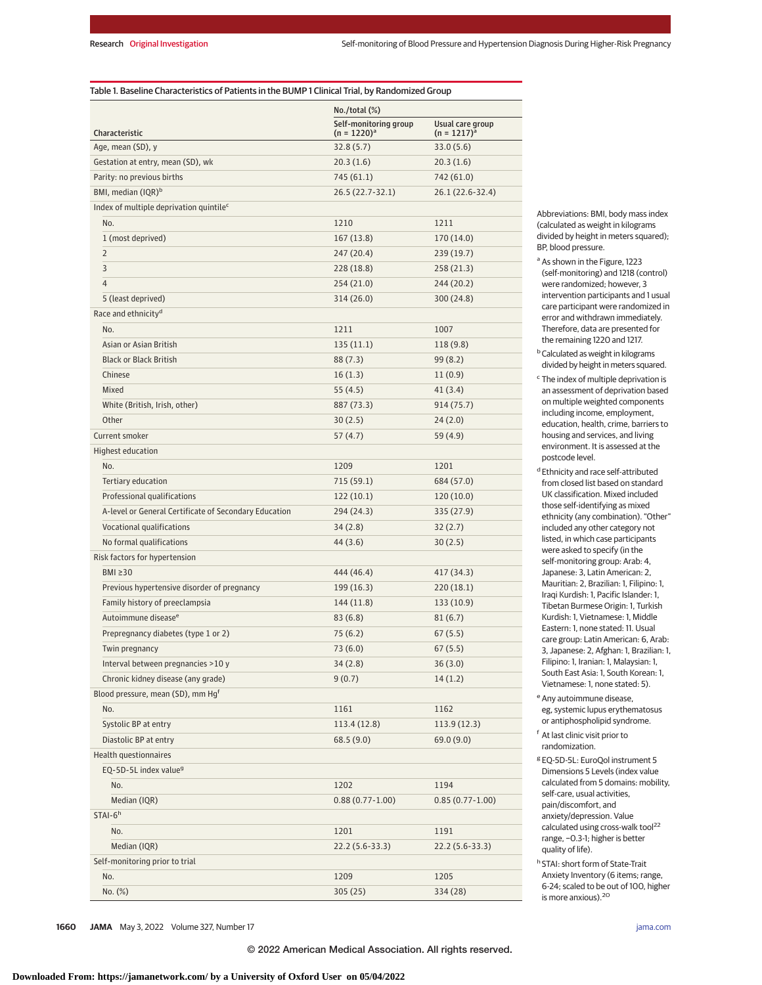#### Table 1. Baseline Characteristics of Patients in the BUMP 1 Clinical Trial, by Randomized Group

|                                                       | No./total (%)         |                   |  |  |
|-------------------------------------------------------|-----------------------|-------------------|--|--|
|                                                       | Self-monitoring group | Usual care group  |  |  |
| Characteristic                                        | $(n = 1220)^a$        | $(n = 1217)^a$    |  |  |
| Age, mean (SD), y                                     | 32.8(5.7)             | 33.0(5.6)         |  |  |
| Gestation at entry, mean (SD), wk                     | 20.3(1.6)             | 20.3(1.6)         |  |  |
| Parity: no previous births                            | 745 (61.1)            | 742 (61.0)        |  |  |
| BMI, median (IQR) <sup>b</sup>                        | 26.5 (22.7-32.1)      | 26.1 (22.6-32.4)  |  |  |
| Index of multiple deprivation quintile <sup>c</sup>   |                       |                   |  |  |
| No.                                                   | 1210                  | 1211              |  |  |
| 1 (most deprived)                                     | 167(13.8)             | 170(14.0)         |  |  |
| $\overline{2}$                                        | 247 (20.4)            | 239 (19.7)        |  |  |
| 3                                                     | 228 (18.8)            | 258(21.3)         |  |  |
| $\overline{4}$                                        | 254 (21.0)            | 244 (20.2)        |  |  |
| 5 (least deprived)                                    | 314 (26.0)            | 300 (24.8)        |  |  |
| Race and ethnicity <sup>d</sup>                       |                       |                   |  |  |
| No.                                                   | 1211                  | 1007              |  |  |
| Asian or Asian British                                | 135(11.1)             | 118(9.8)          |  |  |
| <b>Black or Black British</b>                         | 88 (7.3)              | 99 (8.2)          |  |  |
| Chinese                                               | 16(1.3)               | 11(0.9)           |  |  |
| <b>Mixed</b>                                          | 55 (4.5)              | 41 (3.4)          |  |  |
| White (British, Irish, other)                         | 887 (73.3)            | 914 (75.7)        |  |  |
| Other                                                 | 30(2.5)               | 24(2.0)           |  |  |
| Current smoker                                        | 57 (4.7)              | 59 (4.9)          |  |  |
| <b>Highest education</b>                              |                       |                   |  |  |
| No.                                                   | 1209                  | 1201              |  |  |
| Tertiary education                                    | 715 (59.1)            | 684 (57.0)        |  |  |
| Professional qualifications                           | 122(10.1)             | 120(10.0)         |  |  |
| A-level or General Certificate of Secondary Education | 294 (24.3)            | 335 (27.9)        |  |  |
| Vocational qualifications                             | 34(2.8)               | 32(2.7)           |  |  |
| No formal qualifications                              | 44 (3.6)              | 30(2.5)           |  |  |
| Risk factors for hypertension                         |                       |                   |  |  |
| BMI $\geq$ 30                                         | 444 (46.4)            | 417 (34.3)        |  |  |
| Previous hypertensive disorder of pregnancy           | 199 (16.3)            | 220(18.1)         |  |  |
| Family history of preeclampsia                        | 144 (11.8)            | 133(10.9)         |  |  |
| Autoimmune disease <sup>e</sup>                       | 83(6.8)               | 81(6.7)           |  |  |
| Prepregnancy diabetes (type 1 or 2)                   | 75(6.2)               | 67(5.5)           |  |  |
| Twin pregnancy                                        | 73 (6.0)              | 67(5.5)           |  |  |
| Interval between pregnancies >10 y                    | 34(2.8)               | 36(3.0)           |  |  |
| Chronic kidney disease (any grade)                    | 9(0.7)                | 14(1.2)           |  |  |
| Blood pressure, mean (SD), mm Hq <sup>f</sup>         |                       |                   |  |  |
| No.                                                   | 1161                  | 1162              |  |  |
| Systolic BP at entry                                  | 113.4 (12.8)          | 113.9(12.3)       |  |  |
| Diastolic BP at entry                                 | 68.5(9.0)             | 69.0(9.0)         |  |  |
| Health questionnaires                                 |                       |                   |  |  |
| EQ-5D-5L index value <sup>9</sup>                     |                       |                   |  |  |
| No.                                                   | 1202                  | 1194              |  |  |
| Median (IQR)                                          | $0.88(0.77-1.00)$     | $0.85(0.77-1.00)$ |  |  |
| $STAI-6h$                                             |                       |                   |  |  |
| No.                                                   | 1201                  | 1191              |  |  |
| Median (IQR)                                          | 22.2 (5.6-33.3)       | 22.2 (5.6-33.3)   |  |  |
| Self-monitoring prior to trial                        |                       |                   |  |  |
| No.                                                   | 1209                  |                   |  |  |
|                                                       |                       | 1205              |  |  |
| No. (%)                                               | 305 (25)              | 334 (28)          |  |  |

Abbreviations: BMI, body mass index (calculated as weight in kilograms divided by height in meters squared); BP, blood pressure.

- a As shown in the Figure, 1223 (self-monitoring) and 1218 (control) were randomized; however, 3 intervention participants and 1 usual care participant were randomized in error and withdrawn immediately. Therefore, data are presented for the remaining 1220 and 1217.
- **b** Calculated as weight in kilograms divided by height in meters squared.
- <sup>c</sup> The index of multiple deprivation is an assessment of deprivation based on multiple weighted components including income, employment, education, health, crime, barriers to housing and services, and living environment. It is assessed at the postcode level.

d Ethnicity and race self-attributed from closed list based on standard UK classification. Mixed included those self-identifying as mixed ethnicity (any combination). "Other" included any other category not listed, in which case participants were asked to specify (in the self-monitoring group: Arab: 4, Japanese: 3, Latin American: 2, Mauritian: 2, Brazilian: 1, Filipino: 1, Iraqi Kurdish: 1, Pacific Islander: 1, Tibetan Burmese Origin: 1, Turkish Kurdish: 1, Vietnamese: 1, Middle Eastern: 1, none stated: 11. Usual care group: Latin American: 6, Arab: 3, Japanese: 2, Afghan: 1, Brazilian: 1, Filipino: 1, Iranian: 1, Malaysian: 1, South East Asia: 1, South Korean: 1, Vietnamese: 1, none stated: 5).

- <sup>e</sup> Any autoimmune disease, eg, systemic lupus erythematosus or antiphospholipid syndrome.
- <sup>f</sup> At last clinic visit prior to randomization.
- <sup>g</sup> EQ-5D-5L: EuroQol instrument 5 Dimensions 5 Levels (index value calculated from 5 domains: mobility, self-care, usual activities, pain/discomfort, and anxiety/depression. Value calculated using cross-walk tool<sup>22</sup> range, −0.3-1; higher is better quality of life).
- <sup>h</sup> STAI: short form of State-Trait Anxiety Inventory (6 items; range, 6-24; scaled to be out of 100, higher is more anxious).20

**1660 JAMA** May 3, 2022 Volume 327, Number 17 **(Reprinted)** [jama.com](http://www.jama.com?utm_campaign=articlePDF%26utm_medium=articlePDFlink%26utm_source=articlePDF%26utm_content=jama.2022.4712)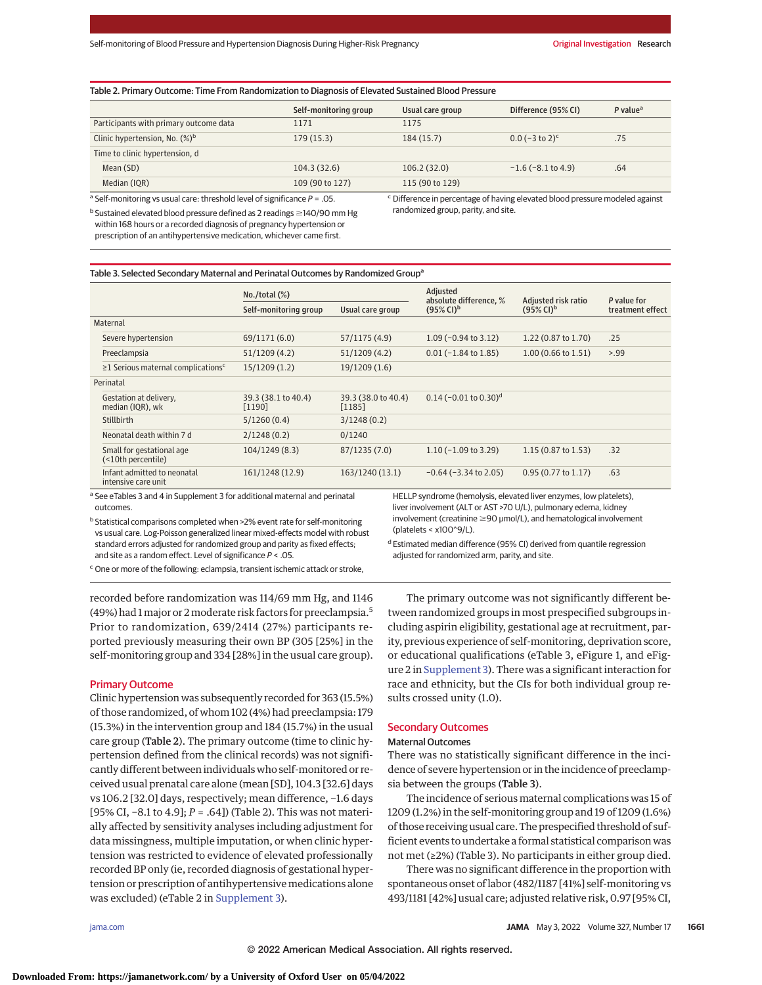#### Table 2. Primary Outcome: Time From Randomization to Diagnosis of Elevated Sustained Blood Pressure

|                                                                       | Self-monitoring group | Usual care group | Difference (95% CI)                                                              | $P$ value <sup>a</sup> |
|-----------------------------------------------------------------------|-----------------------|------------------|----------------------------------------------------------------------------------|------------------------|
| Participants with primary outcome data                                | 1171                  | 1175             |                                                                                  |                        |
| Clinic hypertension, No. $(\%)^b$                                     | 179(15.3)             | 184(15.7)        | $0.0$ (-3 to 2) <sup>c</sup>                                                     | .75                    |
| Time to clinic hypertension, d                                        |                       |                  |                                                                                  |                        |
| Mean (SD)                                                             | 104.3(32.6)           | 106.2(32.0)      | $-1.6$ ( $-8.1$ to 4.9)                                                          | .64                    |
| Median (IQR)                                                          | 109 (90 to 127)       | 115 (90 to 129)  |                                                                                  |                        |
| 3 Celf mendisative ununcul save thuseheld loual of cignificance D  OF |                       |                  | C. Difference in presentage of barriage also grad blead presence medaled against |                        |

Self-monitoring vs usual care: threshold level of significance  $P = .05$ .

 $^{\rm b}$  Sustained elevated blood pressure defined as 2 readings  $\geq$ 140/90 mm Hg within 168 hours or a recorded diagnosis of pregnancy hypertension or prescription of an antihypertensive medication, whichever came first.

Difference in percentage of having elevated blood pressure modeled against randomized group, parity, and site.

#### Table 3. Selected Secondary Maternal and Perinatal Outcomes by Randomized Group<sup>a</sup>

|                                                      | $No./total (\%)$              |                               | Adjusted<br>absolute difference, %  | Adjusted risk ratio            | P value for      |
|------------------------------------------------------|-------------------------------|-------------------------------|-------------------------------------|--------------------------------|------------------|
|                                                      | Self-monitoring group         | Usual care group              | $(95\% \text{ Cl})^b$               | $(95\% \text{ Cl})^{\text{b}}$ | treatment effect |
| Maternal                                             |                               |                               |                                     |                                |                  |
| Severe hypertension                                  | 69/1171 (6.0)                 | 57/1175 (4.9)                 | $1.09$ (-0.94 to 3.12)              | $1.22(0.87 \text{ to } 1.70)$  | .25              |
| Preeclampsia                                         | 51/1209 (4.2)                 | 51/1209(4.2)                  | $0.01$ (-1.84 to 1.85)              | $1.00(0.66 \text{ to } 1.51)$  | > 99             |
| $\geq$ 1 Serious maternal complications <sup>c</sup> | 15/1209(1.2)                  | 19/1209(1.6)                  |                                     |                                |                  |
| Perinatal                                            |                               |                               |                                     |                                |                  |
| Gestation at delivery,<br>median (IQR), wk           | 39.3 (38.1 to 40.4)<br>[1190] | 39.3 (38.0 to 40.4)<br>[1185] | $0.14$ (-0.01 to 0.30) <sup>d</sup> |                                |                  |
| Stillbirth                                           | 5/1260(0.4)                   | 3/1248(0.2)                   |                                     |                                |                  |
| Neonatal death within 7 d                            | 2/1248(0.2)                   | 0/1240                        |                                     |                                |                  |
| Small for gestational age<br>(<10th percentile)      | 104/1249 (8.3)                | 87/1235(7.0)                  | $1.10$ (-1.09 to 3.29)              | $1.15(0.87 \text{ to } 1.53)$  | .32              |
| Infant admitted to neonatal<br>intensive care unit   | 161/1248 (12.9)               | 163/1240 (13.1)               | $-0.64$ ( $-3.34$ to 2.05)          | $0.95(0.77 \text{ to } 1.17)$  | .63              |

<sup>a</sup> See eTables 3 and 4 in Supplement 3 for additional maternal and perinatal outcomes.

<sup>b</sup> Statistical comparisons completed when >2% event rate for self-monitoring vs usual care. Log-Poisson generalized linear mixed-effects model with robust standard errors adjusted for randomized group and parity as fixed effects; and site as a random effect. Level of significance  $P < .05$ .

HELLP syndrome (hemolysis, elevated liver enzymes, low platelets), liver involvement (ALT or AST >70 U/L), pulmonary edema, kidney  $involvement$  (creatinine  $\geq$ 90  $µmol/L$ ), and hematological involvement  $(hlatedets < x100^9/L)$ .

<sup>c</sup> One or more of the following: eclampsia, transient ischemic attack or stroke,

recorded before randomization was 114/69 mm Hg, and 1146 (49%) had 1major or 2moderate risk factors for preeclampsia.5 Prior to randomization, 639/2414 (27%) participants reported previously measuring their own BP (305 [25%] in the self-monitoring group and 334 [28%] in the usual care group).

#### Primary Outcome

Clinic hypertension was subsequently recorded for 363 (15.5%) of those randomized, of whom 102 (4%) had preeclampsia: 179 (15.3%) in the intervention group and 184 (15.7%) in the usual care group (Table 2). The primary outcome (time to clinic hypertension defined from the clinical records) was not significantly different between individuals who self-monitored or received usual prenatal care alone (mean [SD], 104.3 [32.6] days vs 106.2 [32.0] days, respectively; mean difference, −1.6 days [95% CI, −8.1 to 4.9]; *P* = .64]) (Table 2). This was not materially affected by sensitivity analyses including adjustment for data missingness, multiple imputation, or when clinic hypertension was restricted to evidence of elevated professionally recorded BP only (ie, recorded diagnosis of gestational hypertension or prescription of antihypertensive medications alone was excluded) (eTable 2 in [Supplement 3\)](https://jamanetwork.com/journals/jama/fullarticle/10.1001/jama.2022.4712?utm_campaign=articlePDF%26utm_medium=articlePDFlink%26utm_source=articlePDF%26utm_content=jama.2022.4712).

d Estimated median difference (95% CI) derived from quantile regression adjusted for randomized arm, parity, and site.

The primary outcome was not significantly different between randomized groups in most prespecified subgroups including aspirin eligibility, gestational age at recruitment, parity, previous experience of self-monitoring, deprivation score, or educational qualifications (eTable 3, eFigure 1, and eFigure 2 in [Supplement 3\)](https://jamanetwork.com/journals/jama/fullarticle/10.1001/jama.2022.4712?utm_campaign=articlePDF%26utm_medium=articlePDFlink%26utm_source=articlePDF%26utm_content=jama.2022.4712). There was a significant interaction for race and ethnicity, but the CIs for both individual group results crossed unity (1.0).

#### Secondary Outcomes

#### Maternal Outcomes

There was no statistically significant difference in the incidence of severe hypertension or in the incidence of preeclampsia between the groups (Table 3).

The incidence of serious maternal complications was 15 of 1209 (1.2%) in the self-monitoring group and 19 of 1209 (1.6%) of those receiving usual care. The prespecified threshold of sufficient events to undertake a formal statistical comparison was not met (≥2%) (Table 3). No participants in either group died.

There was no significant difference in the proportion with spontaneous onset of labor (482/1187 [41%] self-monitoring vs 493/1181 [42%] usual care; adjusted relative risk, 0.97 [95% CI,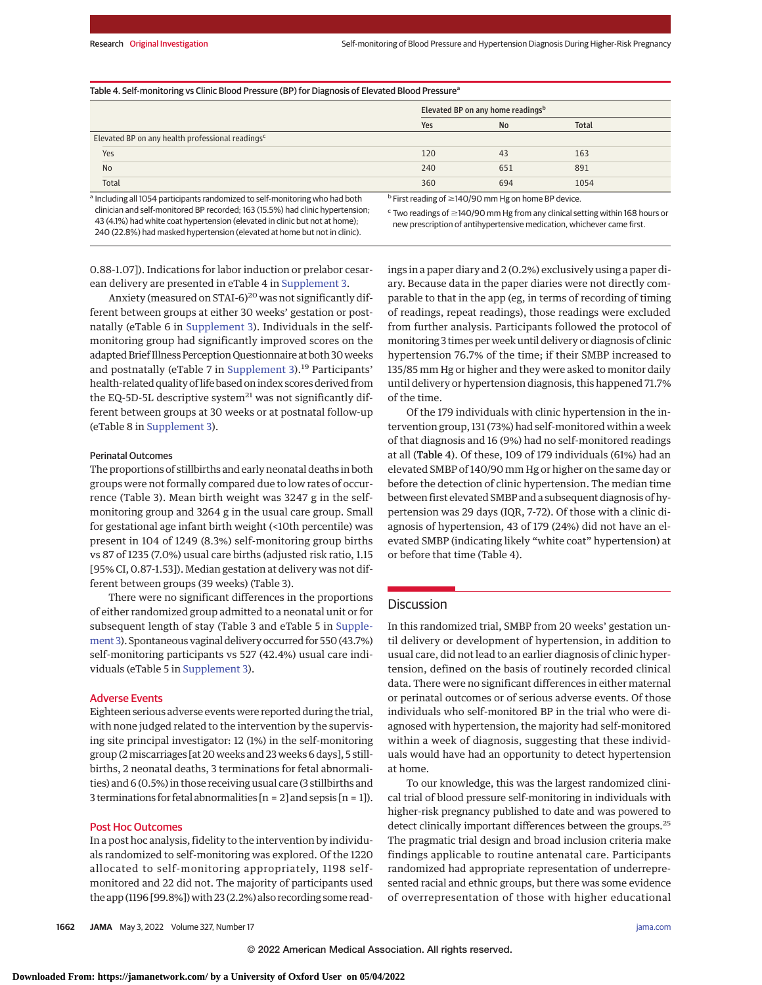| Table 4. Self-monitoring vs Clinic Blood Pressure (BP) for Diagnosis of Elevated Blood Pressure <sup>a</sup> |                                                                                                                                                                                                                                    |     |       |  |
|--------------------------------------------------------------------------------------------------------------|------------------------------------------------------------------------------------------------------------------------------------------------------------------------------------------------------------------------------------|-----|-------|--|
|                                                                                                              | Elevated BP on any home readings <sup>b</sup>                                                                                                                                                                                      |     |       |  |
|                                                                                                              | Yes                                                                                                                                                                                                                                | No  | Total |  |
| Elevated BP on any health professional readings <sup>c</sup>                                                 |                                                                                                                                                                                                                                    |     |       |  |
| Yes                                                                                                          | 120                                                                                                                                                                                                                                | 43  | 163   |  |
| <b>No</b>                                                                                                    | 240                                                                                                                                                                                                                                | 651 | 891   |  |
| Total                                                                                                        | 360                                                                                                                                                                                                                                | 694 | 1054  |  |
| a Including all 1054 participants randomized to self-monitoring who had both                                 | <sup>b</sup> First reading of $\geq$ 140/90 mm Hg on home BP device.                                                                                                                                                               |     |       |  |
| clinician and self-monitored BP recorded: 163 (15.5%) had clinic hypertension.                               | $\mathcal{C}$ , the contract of the contract of the contract of the contract of the contract of the contract of the contract of the contract of the contract of the contract of the contract of the contract of the contract of th |     |       |  |

clinician and self-monitored BP recorded; 163 (15.5%) had clinic hypertension; 43 (4.1%) had white coat hypertension (elevated in clinic but not at home); 240 (22.8%) had masked hypertension (elevated at home but not in clinic).

 $\epsilon$  Two readings of  $\geq$ 140/90 mm Hg from any clinical setting within 168 hours or new prescription of antihypertensive medication, whichever came first.

0.88-1.07]). Indications for labor induction or prelabor cesarean delivery are presented in eTable 4 in [Supplement 3.](https://jamanetwork.com/journals/jama/fullarticle/10.1001/jama.2022.4712?utm_campaign=articlePDF%26utm_medium=articlePDFlink%26utm_source=articlePDF%26utm_content=jama.2022.4712)

Anxiety (measured on STAI-6) $^{20}$  was not significantly different between groups at either 30 weeks' gestation or postnatally (eTable 6 in [Supplement 3\)](https://jamanetwork.com/journals/jama/fullarticle/10.1001/jama.2022.4712?utm_campaign=articlePDF%26utm_medium=articlePDFlink%26utm_source=articlePDF%26utm_content=jama.2022.4712). Individuals in the selfmonitoring group had significantly improved scores on the adapted Brief Illness Perception Questionnaire at both 30weeks and postnatally (eTable 7 in [Supplement 3\)](https://jamanetwork.com/journals/jama/fullarticle/10.1001/jama.2022.4712?utm_campaign=articlePDF%26utm_medium=articlePDFlink%26utm_source=articlePDF%26utm_content=jama.2022.4712).<sup>19</sup> Participants' health-related quality of life based on index scores derived from the EQ-5D-5L descriptive system $^{21}$  was not significantly different between groups at 30 weeks or at postnatal follow-up (eTable 8 in [Supplement 3\)](https://jamanetwork.com/journals/jama/fullarticle/10.1001/jama.2022.4712?utm_campaign=articlePDF%26utm_medium=articlePDFlink%26utm_source=articlePDF%26utm_content=jama.2022.4712).

#### Perinatal Outcomes

The proportions of stillbirths and early neonatal deaths in both groups were not formally compared due to low rates of occurrence (Table 3). Mean birth weight was 3247 g in the selfmonitoring group and 3264 g in the usual care group. Small for gestational age infant birth weight (<10th percentile) was present in 104 of 1249 (8.3%) self-monitoring group births vs 87 of 1235 (7.0%) usual care births (adjusted risk ratio, 1.15 [95% CI, 0.87-1.53]). Median gestation at delivery was not different between groups (39 weeks) (Table 3).

There were no significant differences in the proportions of either randomized group admitted to a neonatal unit or for subsequent length of stay (Table 3 and eTable 5 in [Supple](https://jamanetwork.com/journals/jama/fullarticle/10.1001/jama.2022.4712?utm_campaign=articlePDF%26utm_medium=articlePDFlink%26utm_source=articlePDF%26utm_content=jama.2022.4712)[ment 3\)](https://jamanetwork.com/journals/jama/fullarticle/10.1001/jama.2022.4712?utm_campaign=articlePDF%26utm_medium=articlePDFlink%26utm_source=articlePDF%26utm_content=jama.2022.4712). Spontaneous vaginal delivery occurred for 550 (43.7%) self-monitoring participants vs 527 (42.4%) usual care individuals (eTable 5 in [Supplement 3\)](https://jamanetwork.com/journals/jama/fullarticle/10.1001/jama.2022.4712?utm_campaign=articlePDF%26utm_medium=articlePDFlink%26utm_source=articlePDF%26utm_content=jama.2022.4712).

## Adverse Events

Eighteen serious adverse events were reported during the trial, with none judged related to the intervention by the supervising site principal investigator: 12 (1%) in the self-monitoring group (2miscarriages [at 20 weeks and 23 weeks 6 days], 5 stillbirths, 2 neonatal deaths, 3 terminations for fetal abnormalities) and 6 (0.5%) in those receiving usual care (3 stillbirths and 3 terminations for fetal abnormalities  $[n = 2]$  and sepsis  $[n = 1]$ .

#### Post Hoc Outcomes

In a post hoc analysis, fidelity to the intervention by individuals randomized to self-monitoring was explored. Of the 1220 allocated to self-monitoring appropriately, 1198 selfmonitored and 22 did not. The majority of participants used the app (1196 [99.8%]) with 23 (2.2%) also recording some readings in a paper diary and 2 (0.2%) exclusively using a paper diary. Because data in the paper diaries were not directly comparable to that in the app (eg, in terms of recording of timing of readings, repeat readings), those readings were excluded from further analysis. Participants followed the protocol of monitoring 3 times per week until delivery or diagnosis of clinic hypertension 76.7% of the time; if their SMBP increased to 135/85 mm Hg or higher and they were asked to monitor daily until delivery or hypertension diagnosis, this happened 71.7% of the time.

Of the 179 individuals with clinic hypertension in the intervention group, 131 (73%) had self-monitored within a week of that diagnosis and 16 (9%) had no self-monitored readings at all (Table 4). Of these, 109 of 179 individuals (61%) had an elevated SMBP of 140/90 mm Hg or higher on the same day or before the detection of clinic hypertension. The median time between first elevated SMBP and a subsequent diagnosis of hypertension was 29 days (IQR, 7-72). Of those with a clinic diagnosis of hypertension, 43 of 179 (24%) did not have an elevated SMBP (indicating likely "white coat" hypertension) at or before that time (Table 4).

# Discussion

In this randomized trial, SMBP from 20 weeks' gestation until delivery or development of hypertension, in addition to usual care, did not lead to an earlier diagnosis of clinic hypertension, defined on the basis of routinely recorded clinical data. There were no significant differences in either maternal or perinatal outcomes or of serious adverse events. Of those individuals who self-monitored BP in the trial who were diagnosed with hypertension, the majority had self-monitored within a week of diagnosis, suggesting that these individuals would have had an opportunity to detect hypertension at home.

To our knowledge, this was the largest randomized clinical trial of blood pressure self-monitoring in individuals with higher-risk pregnancy published to date and was powered to detect clinically important differences between the groups.<sup>25</sup> The pragmatic trial design and broad inclusion criteria make findings applicable to routine antenatal care. Participants randomized had appropriate representation of underrepresented racial and ethnic groups, but there was some evidence of overrepresentation of those with higher educational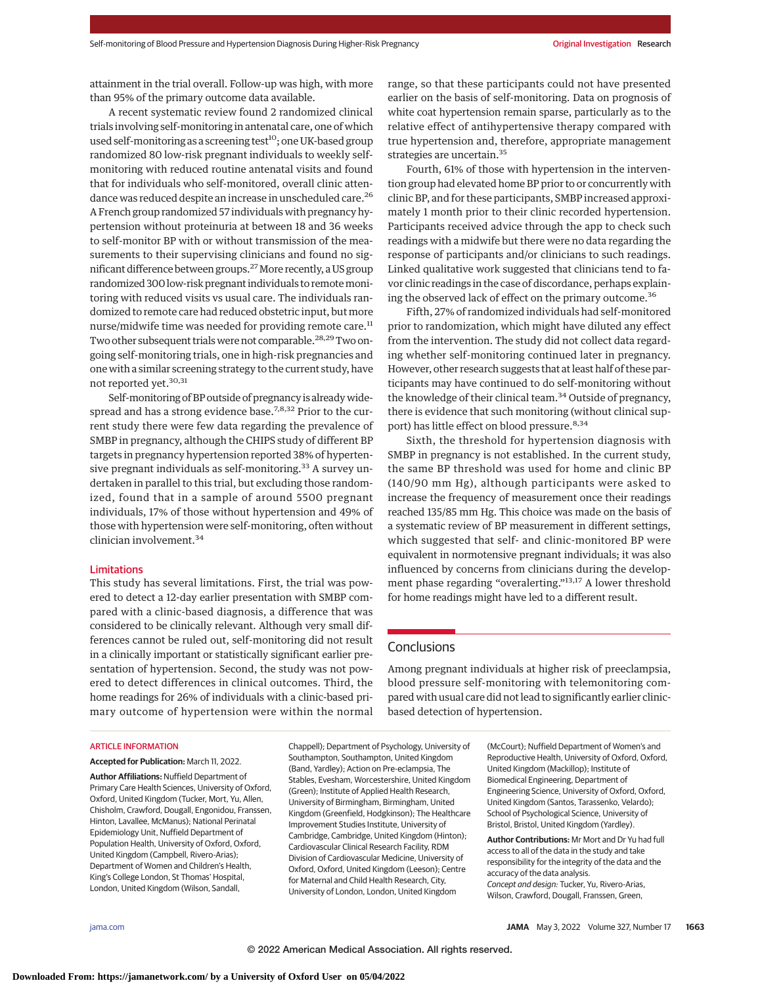attainment in the trial overall. Follow-up was high, with more than 95% of the primary outcome data available.

A recent systematic review found 2 randomized clinical trials involving self-monitoring in antenatal care, one of which used self-monitoring as a screening test $^{10}$ ; one UK-based group randomized 80 low-risk pregnant individuals to weekly selfmonitoring with reduced routine antenatal visits and found that for individuals who self-monitored, overall clinic attendance was reduced despite an increase in unscheduled care.26 A French group randomized 57 individuals with pregnancy hypertension without proteinuria at between 18 and 36 weeks to self-monitor BP with or without transmission of the measurements to their supervising clinicians and found no significant difference between groups.<sup>27</sup> More recently, a US group randomized 300 low-risk pregnant individuals to remotemonitoring with reduced visits vs usual care. The individuals randomized to remote care had reduced obstetric input, but more nurse/midwife time was needed for providing remote care.<sup>11</sup> Two other subsequent trials were not comparable.<sup>28,29</sup>Two ongoing self-monitoring trials, one in high-risk pregnancies and one with a similar screening strategy to the current study, have not reported yet.<sup>30,31</sup>

Self-monitoring of BP outside of pregnancy is already widespread and has a strong evidence base.<sup>7,8,32</sup> Prior to the current study there were few data regarding the prevalence of SMBP in pregnancy, although the CHIPS study of different BP targets in pregnancy hypertension reported 38% of hypertensive pregnant individuals as self-monitoring. $33$  A survey undertaken in parallel to this trial, but excluding those randomized, found that in a sample of around 5500 pregnant individuals, 17% of those without hypertension and 49% of those with hypertension were self-monitoring, often without clinician involvement.<sup>34</sup>

#### Limitations

This study has several limitations. First, the trial was powered to detect a 12-day earlier presentation with SMBP compared with a clinic-based diagnosis, a difference that was considered to be clinically relevant. Although very small differences cannot be ruled out, self-monitoring did not result in a clinically important or statistically significant earlier presentation of hypertension. Second, the study was not powered to detect differences in clinical outcomes. Third, the home readings for 26% of individuals with a clinic-based primary outcome of hypertension were within the normal

#### ARTICLE INFORMATION

**Accepted for Publication:** March 11, 2022.

**Author Affiliations:** Nuffield Department of Primary Care Health Sciences, University of Oxford, Oxford, United Kingdom (Tucker, Mort, Yu, Allen, Chisholm, Crawford, Dougall, Engonidou, Franssen, Hinton, Lavallee, McManus); National Perinatal Epidemiology Unit, Nuffield Department of Population Health, University of Oxford, Oxford, United Kingdom (Campbell, Rivero-Arias); Department of Women and Children's Health, King's College London, St Thomas' Hospital, London, United Kingdom (Wilson, Sandall,

Chappell); Department of Psychology, University of Southampton, Southampton, United Kingdom (Band, Yardley); Action on Pre-eclampsia, The Stables, Evesham, Worcestershire, United Kingdom (Green); Institute of Applied Health Research, University of Birmingham, Birmingham, United Kingdom (Greenfield, Hodgkinson); The Healthcare Improvement Studies Institute, University of Cambridge, Cambridge, United Kingdom (Hinton); Cardiovascular Clinical Research Facility, RDM Division of Cardiovascular Medicine, University of Oxford, Oxford, United Kingdom (Leeson); Centre for Maternal and Child Health Research, City, University of London, London, United Kingdom

range, so that these participants could not have presented earlier on the basis of self-monitoring. Data on prognosis of white coat hypertension remain sparse, particularly as to the relative effect of antihypertensive therapy compared with true hypertension and, therefore, appropriate management strategies are uncertain.<sup>35</sup>

Fourth, 61% of those with hypertension in the intervention group had elevated home BP prior to or concurrently with clinic BP, and for these participants, SMBP increased approximately 1 month prior to their clinic recorded hypertension. Participants received advice through the app to check such readings with a midwife but there were no data regarding the response of participants and/or clinicians to such readings. Linked qualitative work suggested that clinicians tend to favor clinic readings in the case of discordance, perhaps explaining the observed lack of effect on the primary outcome.<sup>36</sup>

Fifth, 27% of randomized individuals had self-monitored prior to randomization, which might have diluted any effect from the intervention. The study did not collect data regarding whether self-monitoring continued later in pregnancy. However, other research suggests that at least half of these participants may have continued to do self-monitoring without the knowledge of their clinical team.<sup>34</sup> Outside of pregnancy, there is evidence that such monitoring (without clinical support) has little effect on blood pressure.<sup>8,34</sup>

Sixth, the threshold for hypertension diagnosis with SMBP in pregnancy is not established. In the current study, the same BP threshold was used for home and clinic BP (140/90 mm Hg), although participants were asked to increase the frequency of measurement once their readings reached 135/85 mm Hg. This choice was made on the basis of a systematic review of BP measurement in different settings, which suggested that self- and clinic-monitored BP were equivalent in normotensive pregnant individuals; it was also influenced by concerns from clinicians during the development phase regarding "overalerting."13,17 A lower threshold for home readings might have led to a different result.

# **Conclusions**

Among pregnant individuals at higher risk of preeclampsia, blood pressure self-monitoring with telemonitoring compared with usual care did not lead to significantly earlier clinicbased detection of hypertension.

> (McCourt); Nuffield Department of Women's and Reproductive Health, University of Oxford, Oxford, United Kingdom (Mackillop); Institute of Biomedical Engineering, Department of Engineering Science, University of Oxford, Oxford, United Kingdom (Santos, Tarassenko, Velardo); School of Psychological Science, University of Bristol, Bristol, United Kingdom (Yardley).

**Author Contributions:** Mr Mort and Dr Yu had full access to all of the data in the study and take responsibility for the integrity of the data and the accuracy of the data analysis. Concept and design: Tucker, Yu, Rivero-Arias, Wilson, Crawford, Dougall, Franssen, Green,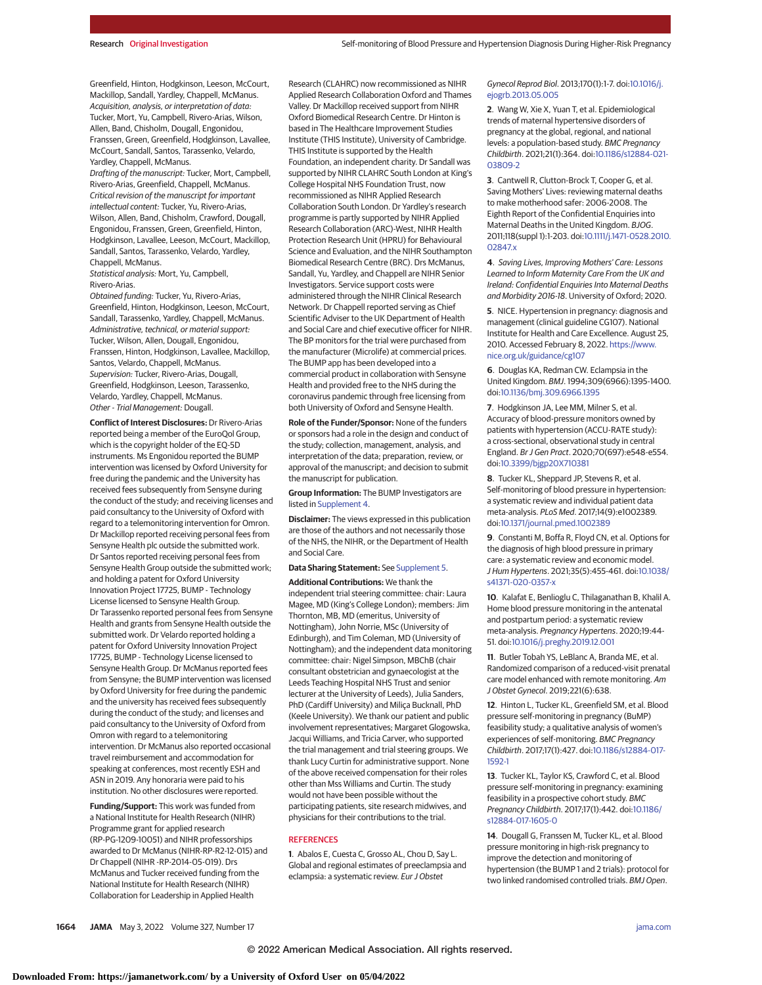Greenfield, Hinton, Hodgkinson, Leeson, McCourt, Mackillop, Sandall, Yardley, Chappell, McManus. Acquisition, analysis, or interpretation of data: Tucker, Mort, Yu, Campbell, Rivero-Arias, Wilson, Allen, Band, Chisholm, Dougall, Engonidou, Franssen, Green, Greenfield, Hodgkinson, Lavallee, McCourt, Sandall, Santos, Tarassenko, Velardo, Yardley, Chappell, McManus.

Drafting of the manuscript: Tucker, Mort, Campbell, Rivero-Arias, Greenfield, Chappell, McManus. Critical revision of the manuscript for important intellectual content: Tucker, Yu, Rivero-Arias, Wilson, Allen, Band, Chisholm, Crawford, Dougall, Engonidou, Franssen, Green, Greenfield, Hinton, Hodgkinson, Lavallee, Leeson, McCourt, Mackillop, Sandall, Santos, Tarassenko, Velardo, Yardley, Chappell, McManus.

Statistical analysis: Mort, Yu, Campbell, Rivero-Arias.

Obtained funding: Tucker, Yu, Rivero-Arias, Greenfield, Hinton, Hodgkinson, Leeson, McCourt, Sandall, Tarassenko, Yardley, Chappell, McManus. Administrative, technical, or material support: Tucker, Wilson, Allen, Dougall, Engonidou, Franssen, Hinton, Hodgkinson, Lavallee, Mackillop, Santos, Velardo, Chappell, McManus. Supervision: Tucker, Rivero-Arias, Dougall, Greenfield, Hodgkinson, Leeson, Tarassenko, Velardo, Yardley, Chappell, McManus. Other - Trial Management: Dougall.

**Conflict of Interest Disclosures:** Dr Rivero-Arias reported being a member of the EuroQol Group, which is the copyright holder of the EQ-5D instruments. Ms Engonidou reported the BUMP intervention was licensed by Oxford University for free during the pandemic and the University has received fees subsequently from Sensyne during the conduct of the study; and receiving licenses and paid consultancy to the University of Oxford with regard to a telemonitoring intervention for Omron. Dr Mackillop reported receiving personal fees from Sensyne Health plc outside the submitted work. Dr Santos reported receiving personal fees from Sensyne Health Group outside the submitted work; and holding a patent for Oxford University Innovation Project 17725, BUMP - Technology License licensed to Sensyne Health Group. Dr Tarassenko reported personal fees from Sensyne Health and grants from Sensyne Health outside the submitted work. Dr Velardo reported holding a patent for Oxford University Innovation Project 17725, BUMP - Technology License licensed to Sensyne Health Group. Dr McManus reported fees from Sensyne; the BUMP intervention was licensed by Oxford University for free during the pandemic and the university has received fees subsequently during the conduct of the study; and licenses and paid consultancy to the University of Oxford from Omron with regard to a telemonitoring intervention. Dr McManus also reported occasional travel reimbursement and accommodation for speaking at conferences, most recently ESH and ASN in 2019. Any honoraria were paid to his institution. No other disclosures were reported.

**Funding/Support:** This work was funded from a National Institute for Health Research (NIHR) Programme grant for applied research (RP-PG-1209-10051) and NIHR professorships awarded to Dr McManus (NIHR-RP-R2-12-015) and Dr Chappell (NIHR -RP-2014-05-019). Drs McManus and Tucker received funding from the National Institute for Health Research (NIHR) Collaboration for Leadership in Applied Health

Research (CLAHRC) now recommissioned as NIHR Applied Research Collaboration Oxford and Thames Valley. Dr Mackillop received support from NIHR Oxford Biomedical Research Centre. Dr Hinton is based in The Healthcare Improvement Studies Institute (THIS Institute), University of Cambridge. THIS Institute is supported by the Health Foundation, an independent charity. Dr Sandall was supported by NIHR CLAHRC South London at King's College Hospital NHS Foundation Trust, now recommissioned as NIHR Applied Research Collaboration South London. Dr Yardley's research programme is partly supported by NIHR Applied Research Collaboration (ARC)-West, NIHR Health Protection Research Unit (HPRU) for Behavioural Science and Evaluation, and the NIHR Southampton Biomedical Research Centre (BRC). Drs McManus, Sandall, Yu, Yardley, and Chappell are NIHR Senior Investigators. Service support costs were administered through the NIHR Clinical Research Network. Dr Chappell reported serving as Chief Scientific Adviser to the UK Department of Health and Social Care and chief executive officer for NIHR. The BP monitors for the trial were purchased from the manufacturer (Microlife) at commercial prices. The BUMP app has been developed into a commercial product in collaboration with Sensyne Health and provided free to the NHS during the coronavirus pandemic through free licensing from both University of Oxford and Sensyne Health.

**Role of the Funder/Sponsor:** None of the funders or sponsors had a role in the design and conduct of the study; collection, management, analysis, and interpretation of the data; preparation, review, or approval of the manuscript; and decision to submit the manuscript for publication.

**Group Information:** The BUMP Investigators are listed in [Supplement 4.](https://jamanetwork.com/journals/jama/fullarticle/10.1001/jama.2022.4712?utm_campaign=articlePDF%26utm_medium=articlePDFlink%26utm_source=articlePDF%26utm_content=jama.2022.4712)

**Disclaimer:** The views expressed in this publication are those of the authors and not necessarily those of the NHS, the NIHR, or the Department of Health and Social Care.

#### **Data Sharing Statement:** See [Supplement 5.](https://jamanetwork.com/journals/jama/fullarticle/10.1001/jama.2022.4712?utm_campaign=articlePDF%26utm_medium=articlePDFlink%26utm_source=articlePDF%26utm_content=jama.2022.4712)

**Additional Contributions:** We thank the independent trial steering committee: chair: Laura Magee, MD (King's College London); members: Jim Thornton, MB, MD (emeritus, University of Nottingham), John Norrie, MSc (University of Edinburgh), and Tim Coleman, MD (University of Nottingham); and the independent data monitoring committee: chair: Nigel Simpson, MBChB (chair consultant obstetrician and gynaecologist at the Leeds Teaching Hospital NHS Trust and senior lecturer at the University of Leeds), Julia Sanders, PhD (Cardiff University) and Miliça Bucknall, PhD (Keele University). We thank our patient and public involvement representatives; Margaret Glogowska, Jacqui Williams, and Tricia Carver, who supported the trial management and trial steering groups. We thank Lucy Curtin for administrative support. None of the above received compensation for their roles other than Mss Williams and Curtin. The study would not have been possible without the participating patients, site research midwives, and physicians for their contributions to the trial.

#### **REFERENCES**

**1**. Abalos E, Cuesta C, Grosso AL, Chou D, Say L. Global and regional estimates of preeclampsia and eclampsia: a systematic review. Eur J Obstet

#### Gynecol Reprod Biol. 2013;170(1):1-7. doi[:10.1016/j.](https://dx.doi.org/10.1016/j.ejogrb.2013.05.005) [ejogrb.2013.05.005](https://dx.doi.org/10.1016/j.ejogrb.2013.05.005)

**2**. Wang W, Xie X, Yuan T, et al. Epidemiological trends of maternal hypertensive disorders of pregnancy at the global, regional, and national levels: a population-based study. BMC Pregnancy Childbirth. 2021;21(1):364. doi[:10.1186/s12884-021-](https://dx.doi.org/10.1186/s12884-021-03809-2) [03809-2](https://dx.doi.org/10.1186/s12884-021-03809-2)

**3**. Cantwell R, Clutton-Brock T, Cooper G, et al. Saving Mothers' Lives: reviewing maternal deaths to make motherhood safer: 2006-2008. The Eighth Report of the Confidential Enquiries into Maternal Deaths in the United Kingdom. BJOG. 2011;118(suppl 1):1-203. doi[:10.1111/j.1471-0528.2010.](https://dx.doi.org/10.1111/j.1471-0528.2010.02847.x) [02847.x](https://dx.doi.org/10.1111/j.1471-0528.2010.02847.x)

**4**. Saving Lives, Improving Mothers' Care: Lessons Learned to Inform Maternity Care From the UK and Ireland: Confidential Enquiries Into Maternal Deaths and Morbidity 2016-18. University of Oxford; 2020.

**5**. NICE. Hypertension in pregnancy: diagnosis and management (clinical guideline CG107). National Institute for Health and Care Excellence. August 25, 2010. Accessed February 8, 2022. [https://www.](https://www.nice.org.uk/guidance/cg107) [nice.org.uk/guidance/cg107](https://www.nice.org.uk/guidance/cg107)

**6**. Douglas KA, Redman CW. Eclampsia in the United Kingdom. BMJ. 1994;309(6966):1395-1400. doi[:10.1136/bmj.309.6966.1395](https://dx.doi.org/10.1136/bmj.309.6966.1395)

**7**. Hodgkinson JA, Lee MM, Milner S, et al. Accuracy of blood-pressure monitors owned by patients with hypertension (ACCU-RATE study): a cross-sectional, observational study in central England. Br J Gen Pract. 2020;70(697):e548-e554. doi[:10.3399/bjgp20X710381](https://dx.doi.org/10.3399/bjgp20X710381)

**8**. Tucker KL, Sheppard JP, Stevens R, et al. Self-monitoring of blood pressure in hypertension: a systematic review and individual patient data meta-analysis. PLoS Med. 2017;14(9):e1002389. doi[:10.1371/journal.pmed.1002389](https://dx.doi.org/10.1371/journal.pmed.1002389)

**9**. Constanti M, Boffa R, Floyd CN, et al. Options for the diagnosis of high blood pressure in primary care: a systematic review and economic model. J Hum Hypertens. 2021;35(5):455-461. doi[:10.1038/](https://dx.doi.org/10.1038/s41371-020-0357-x) [s41371-020-0357-x](https://dx.doi.org/10.1038/s41371-020-0357-x)

**10**. Kalafat E, Benlioglu C, Thilaganathan B, Khalil A. Home blood pressure monitoring in the antenatal and postpartum period: a systematic review meta-analysis. Pregnancy Hypertens. 2020;19:44- 51. doi[:10.1016/j.preghy.2019.12.001](https://dx.doi.org/10.1016/j.preghy.2019.12.001)

**11**. Butler Tobah YS, LeBlanc A, Branda ME, et al. Randomized comparison of a reduced-visit prenatal care model enhanced with remote monitoring. Am J Obstet Gynecol. 2019;221(6):638.

**12**. Hinton L, Tucker KL, Greenfield SM, et al. Blood pressure self-monitoring in pregnancy (BuMP) feasibility study; a qualitative analysis of women's experiences of self-monitoring. BMC Pregnancy Childbirth. 2017;17(1):427. doi[:10.1186/s12884-017-](https://dx.doi.org/10.1186/s12884-017-1592-1) [1592-1](https://dx.doi.org/10.1186/s12884-017-1592-1)

**13**. Tucker KL, Taylor KS, Crawford C, et al. Blood pressure self-monitoring in pregnancy: examining feasibility in a prospective cohort study. BMC Pregnancy Childbirth. 2017;17(1):442. doi[:10.1186/](https://dx.doi.org/10.1186/s12884-017-1605-0) [s12884-017-1605-0](https://dx.doi.org/10.1186/s12884-017-1605-0)

**14**. Dougall G, Franssen M, Tucker KL, et al. Blood pressure monitoring in high-risk pregnancy to improve the detection and monitoring of hypertension (the BUMP 1 and 2 trials): protocol for two linked randomised controlled trials. BMJ Open.